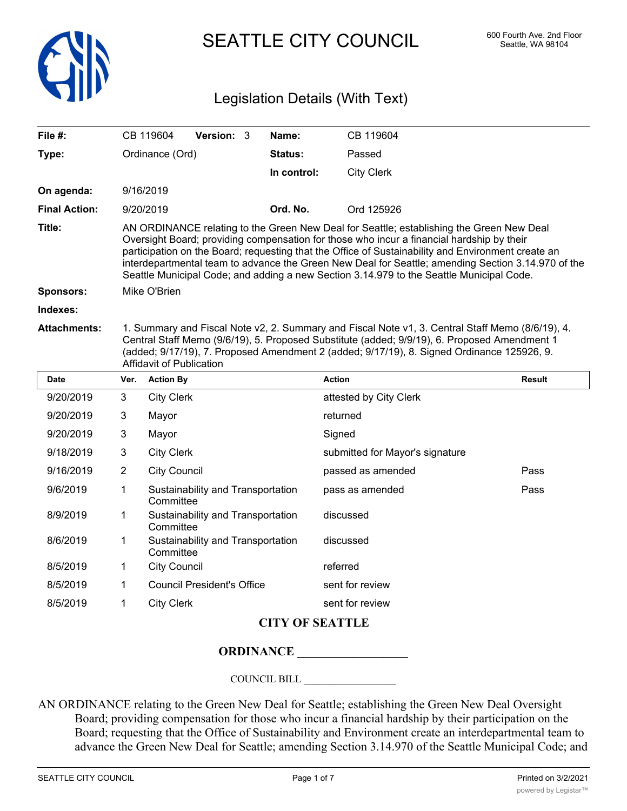

SEATTLE CITY COUNCIL 600 Fourth Ave. 2nd Floor

# Legislation Details (With Text)

| File #:              |                                                                                                                                                                                                                                                                                                                                                                                                                                                                                               | CB 119604         | <b>Version: 3</b> |  | Name:       | CB 119604              |               |
|----------------------|-----------------------------------------------------------------------------------------------------------------------------------------------------------------------------------------------------------------------------------------------------------------------------------------------------------------------------------------------------------------------------------------------------------------------------------------------------------------------------------------------|-------------------|-------------------|--|-------------|------------------------|---------------|
| Type:                | Ordinance (Ord)                                                                                                                                                                                                                                                                                                                                                                                                                                                                               |                   |                   |  | Status:     | Passed                 |               |
|                      |                                                                                                                                                                                                                                                                                                                                                                                                                                                                                               |                   |                   |  | In control: | <b>City Clerk</b>      |               |
| On agenda:           |                                                                                                                                                                                                                                                                                                                                                                                                                                                                                               | 9/16/2019         |                   |  |             |                        |               |
| <b>Final Action:</b> |                                                                                                                                                                                                                                                                                                                                                                                                                                                                                               | 9/20/2019         |                   |  | Ord. No.    | Ord 125926             |               |
| Title:               | AN ORDINANCE relating to the Green New Deal for Seattle; establishing the Green New Deal<br>Oversight Board; providing compensation for those who incur a financial hardship by their<br>participation on the Board; requesting that the Office of Sustainability and Environment create an<br>interdepartmental team to advance the Green New Deal for Seattle; amending Section 3.14.970 of the<br>Seattle Municipal Code; and adding a new Section 3.14.979 to the Seattle Municipal Code. |                   |                   |  |             |                        |               |
| <b>Sponsors:</b>     | Mike O'Brien                                                                                                                                                                                                                                                                                                                                                                                                                                                                                  |                   |                   |  |             |                        |               |
| Indexes:             |                                                                                                                                                                                                                                                                                                                                                                                                                                                                                               |                   |                   |  |             |                        |               |
| <b>Attachments:</b>  | 1. Summary and Fiscal Note v2, 2. Summary and Fiscal Note v1, 3. Central Staff Memo (8/6/19), 4.<br>Central Staff Memo (9/6/19), 5. Proposed Substitute (added; 9/9/19), 6. Proposed Amendment 1<br>(added; 9/17/19), 7. Proposed Amendment 2 (added; 9/17/19), 8. Signed Ordinance 125926, 9.<br>Affidavit of Publication                                                                                                                                                                    |                   |                   |  |             |                        |               |
| <b>Date</b>          | Ver.                                                                                                                                                                                                                                                                                                                                                                                                                                                                                          | <b>Action By</b>  |                   |  |             | <b>Action</b>          | <b>Result</b> |
| 9/20/2019            | 3                                                                                                                                                                                                                                                                                                                                                                                                                                                                                             | <b>City Clerk</b> |                   |  |             | attested by City Clerk |               |
| 9/20/2019            | 3                                                                                                                                                                                                                                                                                                                                                                                                                                                                                             | Mayor             |                   |  |             | returned               |               |
| $\frac{1}{2}$        |                                                                                                                                                                                                                                                                                                                                                                                                                                                                                               |                   |                   |  |             | $\sim$ $\sim$          |               |

| <b>Date</b> | Ver.         | <b>Action By</b>                               | <b>Action</b>                   | <b>Result</b> |
|-------------|--------------|------------------------------------------------|---------------------------------|---------------|
| 9/20/2019   | 3            | <b>City Clerk</b>                              | attested by City Clerk          |               |
| 9/20/2019   | 3            | Mayor                                          | returned                        |               |
| 9/20/2019   | 3            | Mayor                                          | Signed                          |               |
| 9/18/2019   | $\mathbf{3}$ | <b>City Clerk</b>                              | submitted for Mayor's signature |               |
| 9/16/2019   | 2            | <b>City Council</b>                            | passed as amended               | Pass          |
| 9/6/2019    | 1            | Sustainability and Transportation<br>Committee | pass as amended                 | Pass          |
| 8/9/2019    | 1            | Sustainability and Transportation<br>Committee | discussed                       |               |
| 8/6/2019    | 1            | Sustainability and Transportation<br>Committee | discussed                       |               |
| 8/5/2019    | 1            | <b>City Council</b>                            | referred                        |               |
| 8/5/2019    | 1            | <b>Council President's Office</b>              | sent for review                 |               |
| 8/5/2019    |              | <b>City Clerk</b>                              | sent for review                 |               |

## **CITY OF SEATTLE**

### **ORDINANCE \_\_\_\_\_\_\_\_\_\_\_\_\_\_\_\_\_\_**

COUNCIL BILL \_\_\_\_\_\_\_\_\_\_\_\_\_\_\_\_\_\_

AN ORDINANCE relating to the Green New Deal for Seattle; establishing the Green New Deal Oversight Board; providing compensation for those who incur a financial hardship by their participation on the Board; requesting that the Office of Sustainability and Environment create an interdepartmental team to advance the Green New Deal for Seattle; amending Section 3.14.970 of the Seattle Municipal Code; and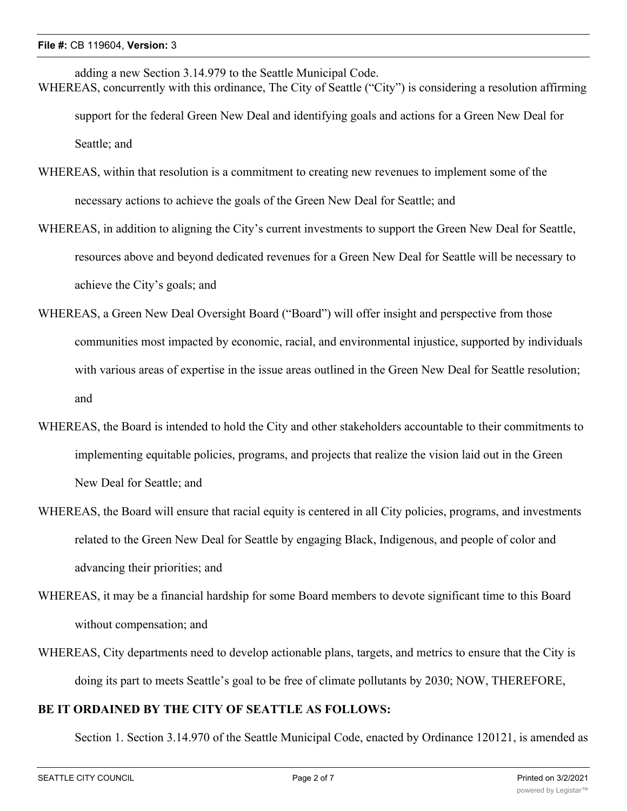- adding a new Section 3.14.979 to the Seattle Municipal Code. WHEREAS, concurrently with this ordinance, The City of Seattle ("City") is considering a resolution affirming support for the federal Green New Deal and identifying goals and actions for a Green New Deal for Seattle; and
- WHEREAS, within that resolution is a commitment to creating new revenues to implement some of the necessary actions to achieve the goals of the Green New Deal for Seattle; and
- WHEREAS, in addition to aligning the City's current investments to support the Green New Deal for Seattle, resources above and beyond dedicated revenues for a Green New Deal for Seattle will be necessary to achieve the City's goals; and
- WHEREAS, a Green New Deal Oversight Board ("Board") will offer insight and perspective from those communities most impacted by economic, racial, and environmental injustice, supported by individuals with various areas of expertise in the issue areas outlined in the Green New Deal for Seattle resolution; and
- WHEREAS, the Board is intended to hold the City and other stakeholders accountable to their commitments to implementing equitable policies, programs, and projects that realize the vision laid out in the Green New Deal for Seattle; and
- WHEREAS, the Board will ensure that racial equity is centered in all City policies, programs, and investments related to the Green New Deal for Seattle by engaging Black, Indigenous, and people of color and advancing their priorities; and
- WHEREAS, it may be a financial hardship for some Board members to devote significant time to this Board without compensation; and
- WHEREAS, City departments need to develop actionable plans, targets, and metrics to ensure that the City is doing its part to meets Seattle's goal to be free of climate pollutants by 2030; NOW, THEREFORE,

#### **BE IT ORDAINED BY THE CITY OF SEATTLE AS FOLLOWS:**

Section 1. Section 3.14.970 of the Seattle Municipal Code, enacted by Ordinance 120121, is amended as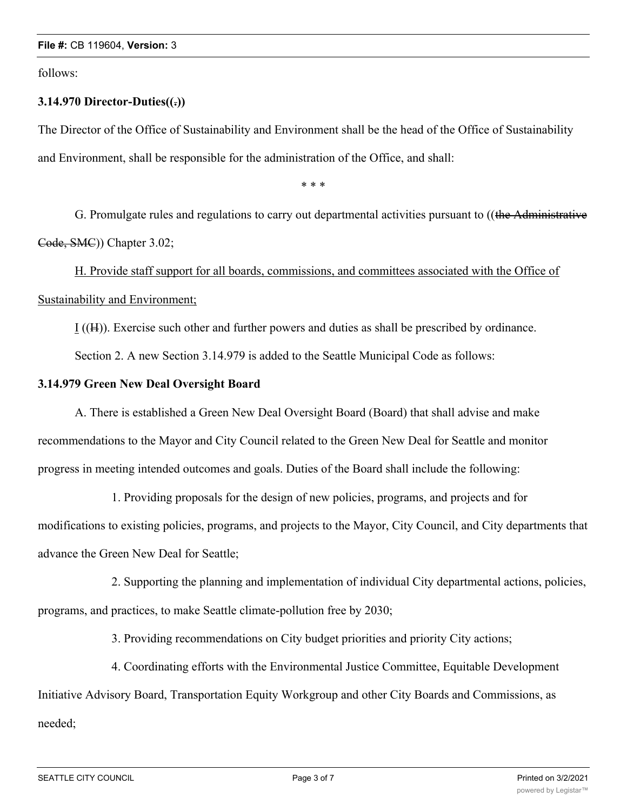follows:

#### **3.14.970 Director-Duties((.))**

The Director of the Office of Sustainability and Environment shall be the head of the Office of Sustainability and Environment, shall be responsible for the administration of the Office, and shall:

\* \* \*

G. Promulgate rules and regulations to carry out departmental activities pursuant to ((the Administrative Code, SMC)) Chapter 3.02;

H. Provide staff support for all boards, commissions, and committees associated with the Office of Sustainability and Environment;

I ((H)). Exercise such other and further powers and duties as shall be prescribed by ordinance.

Section 2. A new Section 3.14.979 is added to the Seattle Municipal Code as follows:

#### **3.14.979 Green New Deal Oversight Board**

A. There is established a Green New Deal Oversight Board (Board) that shall advise and make recommendations to the Mayor and City Council related to the Green New Deal for Seattle and monitor progress in meeting intended outcomes and goals. Duties of the Board shall include the following:

1. Providing proposals for the design of new policies, programs, and projects and for modifications to existing policies, programs, and projects to the Mayor, City Council, and City departments that advance the Green New Deal for Seattle;

2. Supporting the planning and implementation of individual City departmental actions, policies, programs, and practices, to make Seattle climate-pollution free by 2030;

3. Providing recommendations on City budget priorities and priority City actions;

4. Coordinating efforts with the Environmental Justice Committee, Equitable Development Initiative Advisory Board, Transportation Equity Workgroup and other City Boards and Commissions, as needed;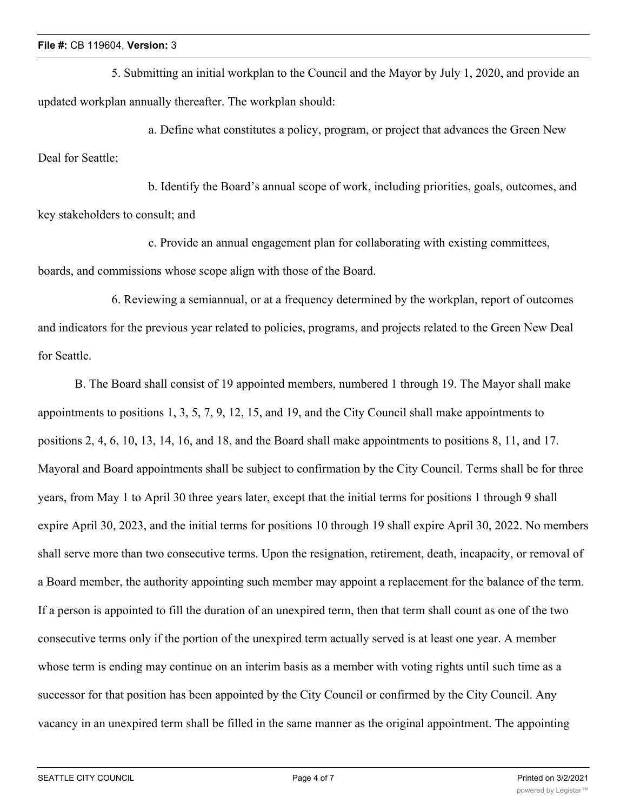5. Submitting an initial workplan to the Council and the Mayor by July 1, 2020, and provide an updated workplan annually thereafter. The workplan should:

a. Define what constitutes a policy, program, or project that advances the Green New Deal for Seattle;

b. Identify the Board's annual scope of work, including priorities, goals, outcomes, and key stakeholders to consult; and

c. Provide an annual engagement plan for collaborating with existing committees, boards, and commissions whose scope align with those of the Board.

6. Reviewing a semiannual, or at a frequency determined by the workplan, report of outcomes and indicators for the previous year related to policies, programs, and projects related to the Green New Deal for Seattle.

B. The Board shall consist of 19 appointed members, numbered 1 through 19. The Mayor shall make appointments to positions 1, 3, 5, 7, 9, 12, 15, and 19, and the City Council shall make appointments to positions 2, 4, 6, 10, 13, 14, 16, and 18, and the Board shall make appointments to positions 8, 11, and 17. Mayoral and Board appointments shall be subject to confirmation by the City Council. Terms shall be for three years, from May 1 to April 30 three years later, except that the initial terms for positions 1 through 9 shall expire April 30, 2023, and the initial terms for positions 10 through 19 shall expire April 30, 2022. No members shall serve more than two consecutive terms. Upon the resignation, retirement, death, incapacity, or removal of a Board member, the authority appointing such member may appoint a replacement for the balance of the term. If a person is appointed to fill the duration of an unexpired term, then that term shall count as one of the two consecutive terms only if the portion of the unexpired term actually served is at least one year. A member whose term is ending may continue on an interim basis as a member with voting rights until such time as a successor for that position has been appointed by the City Council or confirmed by the City Council. Any vacancy in an unexpired term shall be filled in the same manner as the original appointment. The appointing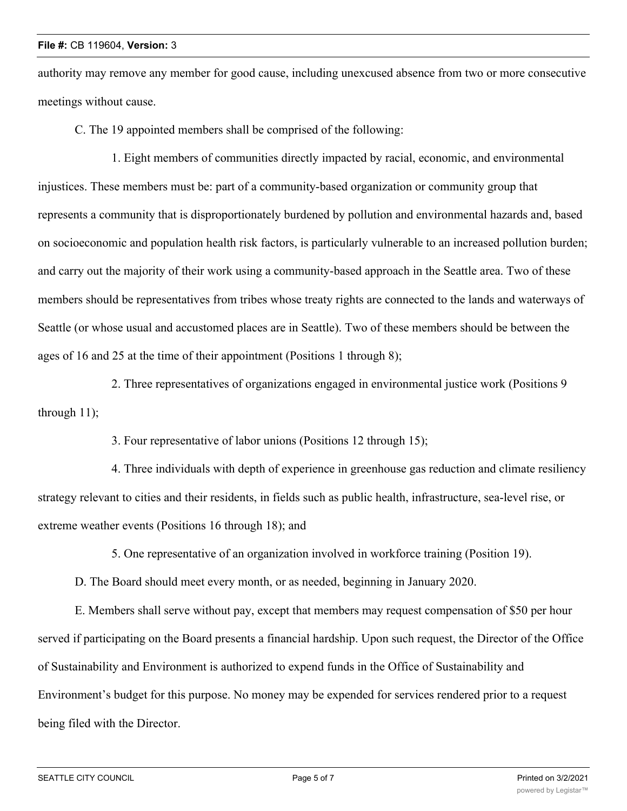authority may remove any member for good cause, including unexcused absence from two or more consecutive meetings without cause.

C. The 19 appointed members shall be comprised of the following:

1. Eight members of communities directly impacted by racial, economic, and environmental injustices. These members must be: part of a community-based organization or community group that represents a community that is disproportionately burdened by pollution and environmental hazards and, based on socioeconomic and population health risk factors, is particularly vulnerable to an increased pollution burden; and carry out the majority of their work using a community-based approach in the Seattle area. Two of these members should be representatives from tribes whose treaty rights are connected to the lands and waterways of Seattle (or whose usual and accustomed places are in Seattle). Two of these members should be between the ages of 16 and 25 at the time of their appointment (Positions 1 through 8);

2. Three representatives of organizations engaged in environmental justice work (Positions 9 through 11);

3. Four representative of labor unions (Positions 12 through 15);

4. Three individuals with depth of experience in greenhouse gas reduction and climate resiliency strategy relevant to cities and their residents, in fields such as public health, infrastructure, sea-level rise, or extreme weather events (Positions 16 through 18); and

5. One representative of an organization involved in workforce training (Position 19).

D. The Board should meet every month, or as needed, beginning in January 2020.

E. Members shall serve without pay, except that members may request compensation of \$50 per hour served if participating on the Board presents a financial hardship. Upon such request, the Director of the Office of Sustainability and Environment is authorized to expend funds in the Office of Sustainability and Environment's budget for this purpose. No money may be expended for services rendered prior to a request being filed with the Director.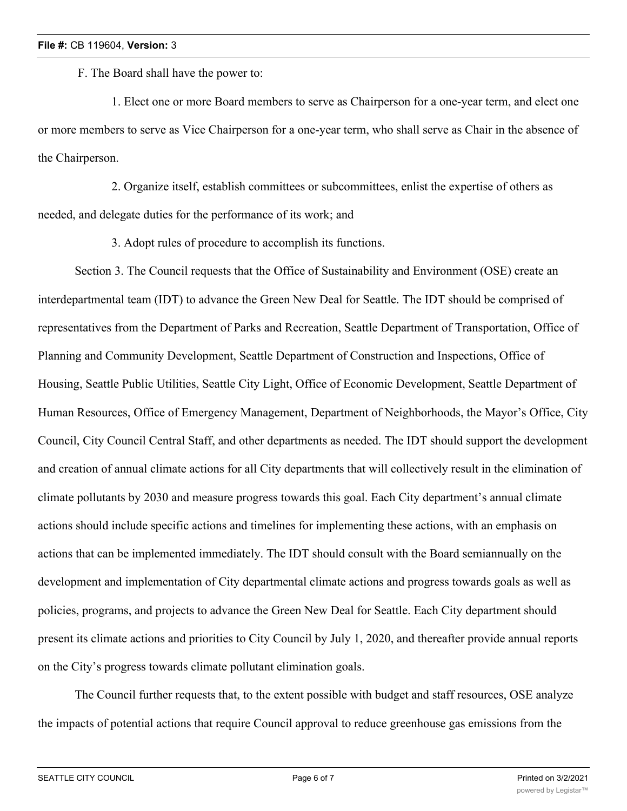F. The Board shall have the power to:

1. Elect one or more Board members to serve as Chairperson for a one-year term, and elect one or more members to serve as Vice Chairperson for a one-year term, who shall serve as Chair in the absence of the Chairperson.

2. Organize itself, establish committees or subcommittees, enlist the expertise of others as needed, and delegate duties for the performance of its work; and

3. Adopt rules of procedure to accomplish its functions.

Section 3. The Council requests that the Office of Sustainability and Environment (OSE) create an interdepartmental team (IDT) to advance the Green New Deal for Seattle. The IDT should be comprised of representatives from the Department of Parks and Recreation, Seattle Department of Transportation, Office of Planning and Community Development, Seattle Department of Construction and Inspections, Office of Housing, Seattle Public Utilities, Seattle City Light, Office of Economic Development, Seattle Department of Human Resources, Office of Emergency Management, Department of Neighborhoods, the Mayor's Office, City Council, City Council Central Staff, and other departments as needed. The IDT should support the development and creation of annual climate actions for all City departments that will collectively result in the elimination of climate pollutants by 2030 and measure progress towards this goal. Each City department's annual climate actions should include specific actions and timelines for implementing these actions, with an emphasis on actions that can be implemented immediately. The IDT should consult with the Board semiannually on the development and implementation of City departmental climate actions and progress towards goals as well as policies, programs, and projects to advance the Green New Deal for Seattle. Each City department should present its climate actions and priorities to City Council by July 1, 2020, and thereafter provide annual reports on the City's progress towards climate pollutant elimination goals.

The Council further requests that, to the extent possible with budget and staff resources, OSE analyze the impacts of potential actions that require Council approval to reduce greenhouse gas emissions from the